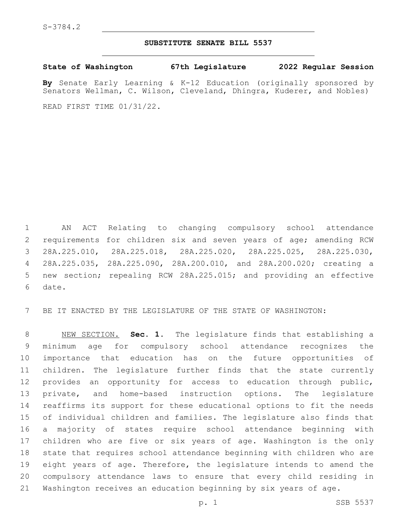## **SUBSTITUTE SENATE BILL 5537**

**State of Washington 67th Legislature 2022 Regular Session**

**By** Senate Early Learning & K-12 Education (originally sponsored by Senators Wellman, C. Wilson, Cleveland, Dhingra, Kuderer, and Nobles)

READ FIRST TIME 01/31/22.

 AN ACT Relating to changing compulsory school attendance requirements for children six and seven years of age; amending RCW 28A.225.010, 28A.225.018, 28A.225.020, 28A.225.025, 28A.225.030, 28A.225.035, 28A.225.090, 28A.200.010, and 28A.200.020; creating a new section; repealing RCW 28A.225.015; and providing an effective 6 date.

BE IT ENACTED BY THE LEGISLATURE OF THE STATE OF WASHINGTON:

 NEW SECTION. **Sec. 1.** The legislature finds that establishing a minimum age for compulsory school attendance recognizes the importance that education has on the future opportunities of children. The legislature further finds that the state currently provides an opportunity for access to education through public, private, and home-based instruction options. The legislature reaffirms its support for these educational options to fit the needs of individual children and families. The legislature also finds that a majority of states require school attendance beginning with children who are five or six years of age. Washington is the only state that requires school attendance beginning with children who are eight years of age. Therefore, the legislature intends to amend the compulsory attendance laws to ensure that every child residing in Washington receives an education beginning by six years of age.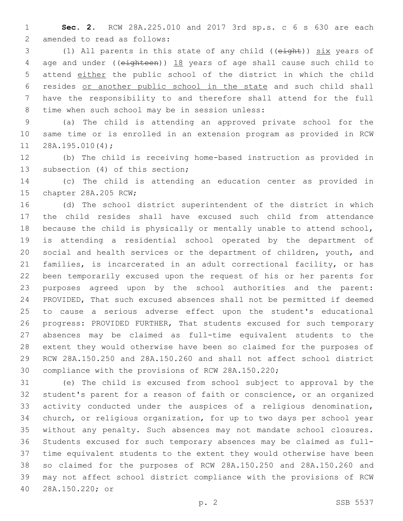**Sec. 2.** RCW 28A.225.010 and 2017 3rd sp.s. c 6 s 630 are each 2 amended to read as follows:

 (1) All parents in this state of any child ((eight)) six years of age and under ((eighteen)) 18 years of age shall cause such child to attend either the public school of the district in which the child resides or another public school in the state and such child shall have the responsibility to and therefore shall attend for the full 8 time when such school may be in session unless:

 (a) The child is attending an approved private school for the same time or is enrolled in an extension program as provided in RCW 11 28A.195.010(4);

 (b) The child is receiving home-based instruction as provided in 13 subsection (4) of this section;

 (c) The child is attending an education center as provided in 15 chapter 28A.205 RCW;

 (d) The school district superintendent of the district in which the child resides shall have excused such child from attendance because the child is physically or mentally unable to attend school, is attending a residential school operated by the department of social and health services or the department of children, youth, and families, is incarcerated in an adult correctional facility, or has been temporarily excused upon the request of his or her parents for purposes agreed upon by the school authorities and the parent: PROVIDED, That such excused absences shall not be permitted if deemed to cause a serious adverse effect upon the student's educational progress: PROVIDED FURTHER, That students excused for such temporary absences may be claimed as full-time equivalent students to the extent they would otherwise have been so claimed for the purposes of RCW 28A.150.250 and 28A.150.260 and shall not affect school district compliance with the provisions of RCW 28A.150.220;

 (e) The child is excused from school subject to approval by the student's parent for a reason of faith or conscience, or an organized activity conducted under the auspices of a religious denomination, church, or religious organization, for up to two days per school year without any penalty. Such absences may not mandate school closures. Students excused for such temporary absences may be claimed as full- time equivalent students to the extent they would otherwise have been so claimed for the purposes of RCW 28A.150.250 and 28A.150.260 and may not affect school district compliance with the provisions of RCW 28A.150.220; or40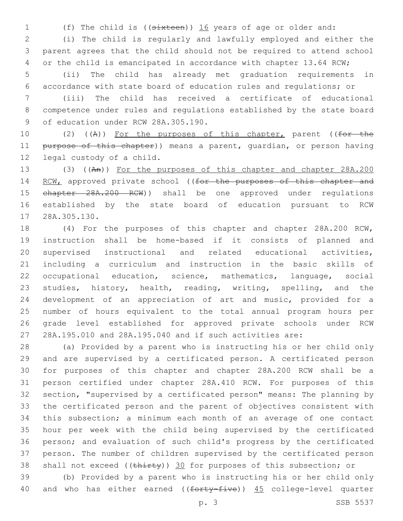(f) The child is ((sixteen)) 16 years of age or older and:

 (i) The child is regularly and lawfully employed and either the parent agrees that the child should not be required to attend school 4 or the child is emancipated in accordance with chapter 13.64 RCW;

 (ii) The child has already met graduation requirements in accordance with state board of education rules and regulations; or

 (iii) The child has received a certificate of educational competence under rules and regulations established by the state board 9 of education under RCW 28A.305.190.

10 (2) ((A)) For the purposes of this chapter, parent ((for the 11 purpose of this chapter)) means a parent, quardian, or person having 12 legal custody of a child.

 (3) ((An)) For the purposes of this chapter and chapter 28A.200 14 RCW, approved private school ((for the purposes of this chapter and 15 chapter 28A.200 RCW)) shall be one approved under regulations established by the state board of education pursuant to RCW 17 28A.305.130.

 (4) For the purposes of this chapter and chapter 28A.200 RCW, instruction shall be home-based if it consists of planned and supervised instructional and related educational activities, including a curriculum and instruction in the basic skills of occupational education, science, mathematics, language, social studies, history, health, reading, writing, spelling, and the development of an appreciation of art and music, provided for a number of hours equivalent to the total annual program hours per grade level established for approved private schools under RCW 28A.195.010 and 28A.195.040 and if such activities are:

 (a) Provided by a parent who is instructing his or her child only and are supervised by a certificated person. A certificated person for purposes of this chapter and chapter 28A.200 RCW shall be a person certified under chapter 28A.410 RCW. For purposes of this section, "supervised by a certificated person" means: The planning by the certificated person and the parent of objectives consistent with this subsection; a minimum each month of an average of one contact hour per week with the child being supervised by the certificated person; and evaluation of such child's progress by the certificated person. The number of children supervised by the certificated person 38 shall not exceed ((thirty)) 30 for purposes of this subsection; or

 (b) Provided by a parent who is instructing his or her child only 40 and who has either earned ((forty-five)) 45 college-level quarter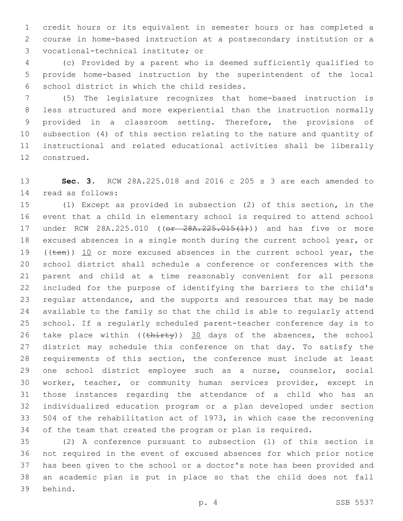credit hours or its equivalent in semester hours or has completed a course in home-based instruction at a postsecondary institution or a vocational-technical institute; or3

 (c) Provided by a parent who is deemed sufficiently qualified to provide home-based instruction by the superintendent of the local 6 school district in which the child resides.

 (5) The legislature recognizes that home-based instruction is less structured and more experiential than the instruction normally provided in a classroom setting. Therefore, the provisions of subsection (4) of this section relating to the nature and quantity of instructional and related educational activities shall be liberally 12 construed.

 **Sec. 3.** RCW 28A.225.018 and 2016 c 205 s 3 are each amended to read as follows:14

 (1) Except as provided in subsection (2) of this section, in the event that a child in elementary school is required to attend school 17 under RCW 28A.225.010 (( $\theta$  28A.225.015(1)) and has five or more excused absences in a single month during the current school year, or 19 (( $t_{en}$ )) 10 or more excused absences in the current school year, the school district shall schedule a conference or conferences with the parent and child at a time reasonably convenient for all persons included for the purpose of identifying the barriers to the child's regular attendance, and the supports and resources that may be made available to the family so that the child is able to regularly attend school. If a regularly scheduled parent-teacher conference day is to 26 take place within  $((\text{thi}r\text{t}y))$  30 days of the absences, the school district may schedule this conference on that day. To satisfy the requirements of this section, the conference must include at least one school district employee such as a nurse, counselor, social worker, teacher, or community human services provider, except in those instances regarding the attendance of a child who has an individualized education program or a plan developed under section 504 of the rehabilitation act of 1973, in which case the reconvening of the team that created the program or plan is required.

 (2) A conference pursuant to subsection (1) of this section is not required in the event of excused absences for which prior notice has been given to the school or a doctor's note has been provided and an academic plan is put in place so that the child does not fall 39 behind.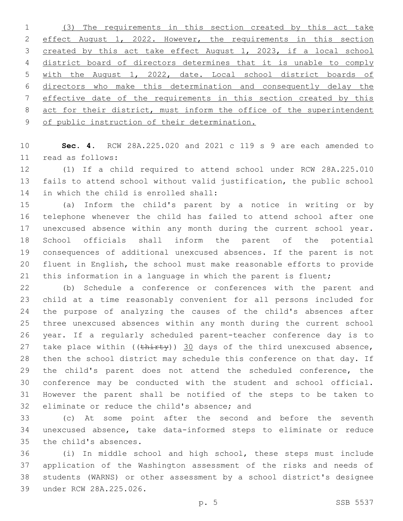(3) The requirements in this section created by this act take effect August 1, 2022. However, the requirements in this section created by this act take effect August 1, 2023, if a local school district board of directors determines that it is unable to comply with the August 1, 2022, date. Local school district boards of directors who make this determination and consequently delay the effective date of the requirements in this section created by this 8 act for their district, must inform the office of the superintendent of public instruction of their determination.

 **Sec. 4.** RCW 28A.225.020 and 2021 c 119 s 9 are each amended to read as follows:11

 (1) If a child required to attend school under RCW 28A.225.010 fails to attend school without valid justification, the public school 14 in which the child is enrolled shall:

 (a) Inform the child's parent by a notice in writing or by telephone whenever the child has failed to attend school after one unexcused absence within any month during the current school year. School officials shall inform the parent of the potential consequences of additional unexcused absences. If the parent is not fluent in English, the school must make reasonable efforts to provide this information in a language in which the parent is fluent;

 (b) Schedule a conference or conferences with the parent and child at a time reasonably convenient for all persons included for the purpose of analyzing the causes of the child's absences after three unexcused absences within any month during the current school year. If a regularly scheduled parent-teacher conference day is to 27 take place within  $((\text{thirty}))$  30 days of the third unexcused absence, then the school district may schedule this conference on that day. If the child's parent does not attend the scheduled conference, the conference may be conducted with the student and school official. However the parent shall be notified of the steps to be taken to 32 eliminate or reduce the child's absence; and

 (c) At some point after the second and before the seventh unexcused absence, take data-informed steps to eliminate or reduce 35 the child's absences.

 (i) In middle school and high school, these steps must include application of the Washington assessment of the risks and needs of students (WARNS) or other assessment by a school district's designee 39 under RCW 28A.225.026.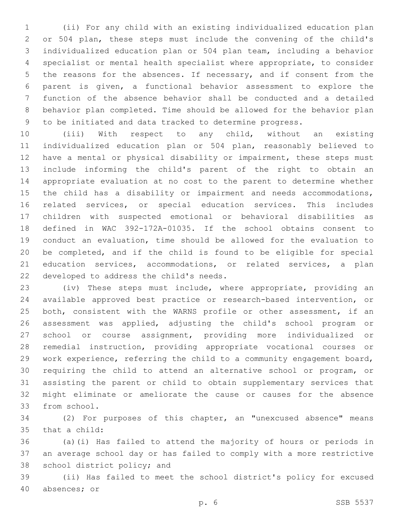(ii) For any child with an existing individualized education plan or 504 plan, these steps must include the convening of the child's individualized education plan or 504 plan team, including a behavior specialist or mental health specialist where appropriate, to consider 5 the reasons for the absences. If necessary, and if consent from the parent is given, a functional behavior assessment to explore the function of the absence behavior shall be conducted and a detailed behavior plan completed. Time should be allowed for the behavior plan to be initiated and data tracked to determine progress.

 (iii) With respect to any child, without an existing individualized education plan or 504 plan, reasonably believed to have a mental or physical disability or impairment, these steps must include informing the child's parent of the right to obtain an appropriate evaluation at no cost to the parent to determine whether the child has a disability or impairment and needs accommodations, related services, or special education services. This includes children with suspected emotional or behavioral disabilities as defined in WAC 392-172A-01035. If the school obtains consent to conduct an evaluation, time should be allowed for the evaluation to be completed, and if the child is found to be eligible for special education services, accommodations, or related services, a plan 22 developed to address the child's needs.

 (iv) These steps must include, where appropriate, providing an available approved best practice or research-based intervention, or both, consistent with the WARNS profile or other assessment, if an assessment was applied, adjusting the child's school program or school or course assignment, providing more individualized or remedial instruction, providing appropriate vocational courses or work experience, referring the child to a community engagement board, requiring the child to attend an alternative school or program, or assisting the parent or child to obtain supplementary services that might eliminate or ameliorate the cause or causes for the absence 33 from school.

 (2) For purposes of this chapter, an "unexcused absence" means 35 that a child:

 (a)(i) Has failed to attend the majority of hours or periods in an average school day or has failed to comply with a more restrictive 38 school district policy; and

 (ii) Has failed to meet the school district's policy for excused 40 absences; or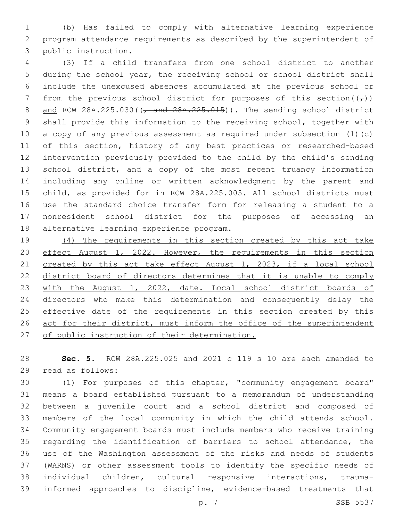(b) Has failed to comply with alternative learning experience program attendance requirements as described by the superintendent of 3 public instruction.

 (3) If a child transfers from one school district to another during the school year, the receiving school or school district shall include the unexcused absences accumulated at the previous school or 7 from the previous school district for purposes of this section( $(\tau)$ ) 8 and RCW 28A.225.030((, and 28A.225.015)). The sending school district shall provide this information to the receiving school, together with a copy of any previous assessment as required under subsection (1)(c) of this section, history of any best practices or researched-based intervention previously provided to the child by the child's sending 13 school district, and a copy of the most recent truancy information including any online or written acknowledgment by the parent and child, as provided for in RCW 28A.225.005. All school districts must use the standard choice transfer form for releasing a student to a nonresident school district for the purposes of accessing an 18 alternative learning experience program.

 (4) The requirements in this section created by this act take 20 effect August 1, 2022. However, the requirements in this section 21 created by this act take effect August 1, 2023, if a local school district board of directors determines that it is unable to comply 23 with the August 1, 2022, date. Local school district boards of directors who make this determination and consequently delay the 25 effective date of the requirements in this section created by this 26 act for their district, must inform the office of the superintendent 27 of public instruction of their determination.

 **Sec. 5.** RCW 28A.225.025 and 2021 c 119 s 10 are each amended to 29 read as follows:

 (1) For purposes of this chapter, "community engagement board" means a board established pursuant to a memorandum of understanding between a juvenile court and a school district and composed of members of the local community in which the child attends school. Community engagement boards must include members who receive training regarding the identification of barriers to school attendance, the use of the Washington assessment of the risks and needs of students (WARNS) or other assessment tools to identify the specific needs of individual children, cultural responsive interactions, trauma-informed approaches to discipline, evidence-based treatments that

p. 7 SSB 5537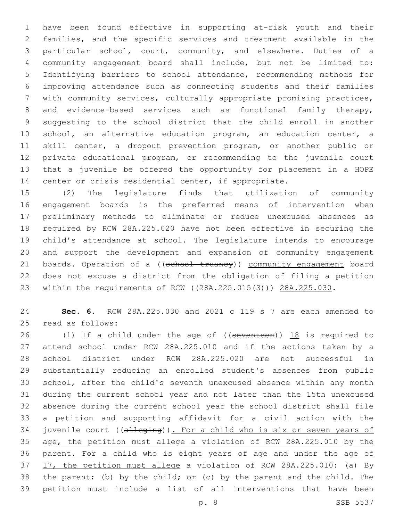have been found effective in supporting at-risk youth and their families, and the specific services and treatment available in the particular school, court, community, and elsewhere. Duties of a community engagement board shall include, but not be limited to: Identifying barriers to school attendance, recommending methods for improving attendance such as connecting students and their families with community services, culturally appropriate promising practices, 8 and evidence-based services such as functional family therapy, suggesting to the school district that the child enroll in another school, an alternative education program, an education center, a skill center, a dropout prevention program, or another public or private educational program, or recommending to the juvenile court that a juvenile be offered the opportunity for placement in a HOPE center or crisis residential center, if appropriate.

 (2) The legislature finds that utilization of community engagement boards is the preferred means of intervention when preliminary methods to eliminate or reduce unexcused absences as required by RCW 28A.225.020 have not been effective in securing the child's attendance at school. The legislature intends to encourage and support the development and expansion of community engagement 21 boards. Operation of a ((school truancy)) community engagement board does not excuse a district from the obligation of filing a petition 23 within the requirements of RCW ((28A.225.015(3))) 28A.225.030.

 **Sec. 6.** RCW 28A.225.030 and 2021 c 119 s 7 are each amended to 25 read as follows:

26 (1) If a child under the age of ((seventeen)) 18 is required to attend school under RCW 28A.225.010 and if the actions taken by a school district under RCW 28A.225.020 are not successful in substantially reducing an enrolled student's absences from public school, after the child's seventh unexcused absence within any month during the current school year and not later than the 15th unexcused absence during the current school year the school district shall file a petition and supporting affidavit for a civil action with the 34 juvenile court ((alleging)). For a child who is six or seven years of age, the petition must allege a violation of RCW 28A.225.010 by the parent. For a child who is eight years of age and under the age of 17, the petition must allege a violation of RCW 28A.225.010: (a) By the parent; (b) by the child; or (c) by the parent and the child. The petition must include a list of all interventions that have been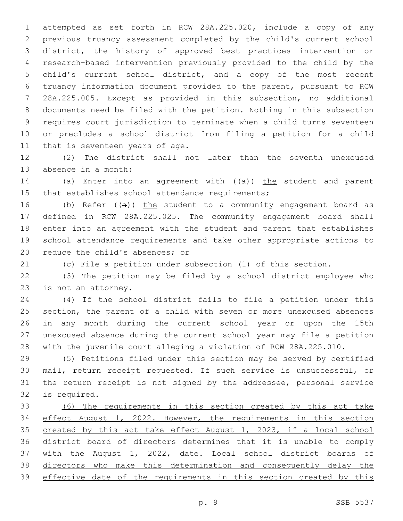attempted as set forth in RCW 28A.225.020, include a copy of any previous truancy assessment completed by the child's current school district, the history of approved best practices intervention or research-based intervention previously provided to the child by the child's current school district, and a copy of the most recent truancy information document provided to the parent, pursuant to RCW 28A.225.005. Except as provided in this subsection, no additional documents need be filed with the petition. Nothing in this subsection requires court jurisdiction to terminate when a child turns seventeen or precludes a school district from filing a petition for a child 11 that is seventeen years of age.

 (2) The district shall not later than the seventh unexcused 13 absence in a month:

14 (a) Enter into an agreement with  $((a))$  the student and parent 15 that establishes school attendance requirements;

16 (b) Refer  $((a))$  the student to a community engagement board as defined in RCW 28A.225.025. The community engagement board shall enter into an agreement with the student and parent that establishes school attendance requirements and take other appropriate actions to 20 reduce the child's absences; or

(c) File a petition under subsection (1) of this section.

 (3) The petition may be filed by a school district employee who 23 is not an attorney.

 (4) If the school district fails to file a petition under this section, the parent of a child with seven or more unexcused absences in any month during the current school year or upon the 15th unexcused absence during the current school year may file a petition with the juvenile court alleging a violation of RCW 28A.225.010.

 (5) Petitions filed under this section may be served by certified mail, return receipt requested. If such service is unsuccessful, or the return receipt is not signed by the addressee, personal service 32 is required.

 (6) The requirements in this section created by this act take effect August 1, 2022. However, the requirements in this section created by this act take effect August 1, 2023, if a local school district board of directors determines that it is unable to comply with the August 1, 2022, date. Local school district boards of directors who make this determination and consequently delay the effective date of the requirements in this section created by this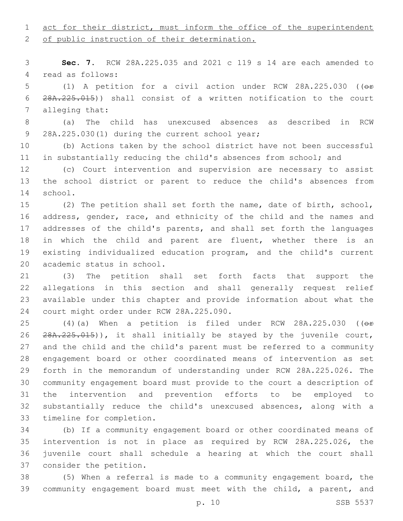## 1 act for their district, must inform the office of the superintendent

2 of public instruction of their determination.

 **Sec. 7.** RCW 28A.225.035 and 2021 c 119 s 14 are each amended to 4 read as follows:

 (1) A petition for a civil action under RCW 28A.225.030 ((or 28A.225.015)) shall consist of a written notification to the court 7 alleging that:

 (a) The child has unexcused absences as described in RCW 28A.225.030(1) during the current school year;9

 (b) Actions taken by the school district have not been successful in substantially reducing the child's absences from school; and

 (c) Court intervention and supervision are necessary to assist the school district or parent to reduce the child's absences from 14 school.

 (2) The petition shall set forth the name, date of birth, school, address, gender, race, and ethnicity of the child and the names and addresses of the child's parents, and shall set forth the languages in which the child and parent are fluent, whether there is an existing individualized education program, and the child's current 20 academic status in school.

 (3) The petition shall set forth facts that support the allegations in this section and shall generally request relief available under this chapter and provide information about what the 24 court might order under RCW 28A.225.090.

25 (4)(a) When a petition is filed under RCW 28A.225.030 ((or 26 28A.225.015)), it shall initially be stayed by the juvenile court, and the child and the child's parent must be referred to a community engagement board or other coordinated means of intervention as set forth in the memorandum of understanding under RCW 28A.225.026. The community engagement board must provide to the court a description of the intervention and prevention efforts to be employed to substantially reduce the child's unexcused absences, along with a 33 timeline for completion.

 (b) If a community engagement board or other coordinated means of intervention is not in place as required by RCW 28A.225.026, the juvenile court shall schedule a hearing at which the court shall 37 consider the petition.

 (5) When a referral is made to a community engagement board, the community engagement board must meet with the child, a parent, and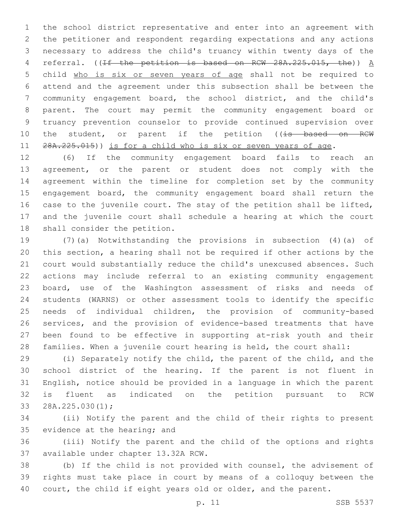the school district representative and enter into an agreement with the petitioner and respondent regarding expectations and any actions necessary to address the child's truancy within twenty days of the 4 referral. ((If the petition is based on RCW 28A.225.015, the)) A child who is six or seven years of age shall not be required to attend and the agreement under this subsection shall be between the community engagement board, the school district, and the child's parent. The court may permit the community engagement board or truancy prevention counselor to provide continued supervision over 10 the student, or parent if the petition ((is based on RCW 11 28A.225.015)) is for a child who is six or seven years of age.

 (6) If the community engagement board fails to reach an 13 agreement, or the parent or student does not comply with the agreement within the timeline for completion set by the community engagement board, the community engagement board shall return the 16 case to the juvenile court. The stay of the petition shall be lifted, and the juvenile court shall schedule a hearing at which the court 18 shall consider the petition.

 (7)(a) Notwithstanding the provisions in subsection (4)(a) of this section, a hearing shall not be required if other actions by the court would substantially reduce the child's unexcused absences. Such actions may include referral to an existing community engagement board, use of the Washington assessment of risks and needs of students (WARNS) or other assessment tools to identify the specific needs of individual children, the provision of community-based services, and the provision of evidence-based treatments that have been found to be effective in supporting at-risk youth and their families. When a juvenile court hearing is held, the court shall:

 (i) Separately notify the child, the parent of the child, and the school district of the hearing. If the parent is not fluent in English, notice should be provided in a language in which the parent is fluent as indicated on the petition pursuant to RCW 33 28A.225.030(1);

 (ii) Notify the parent and the child of their rights to present 35 evidence at the hearing; and

 (iii) Notify the parent and the child of the options and rights 37 available under chapter 13.32A RCW.

 (b) If the child is not provided with counsel, the advisement of rights must take place in court by means of a colloquy between the 40 court, the child if eight years old or older, and the parent.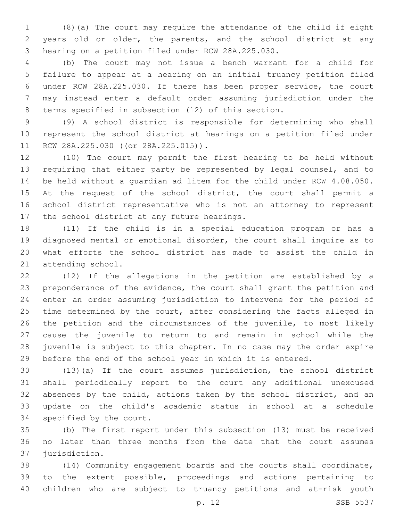(8)(a) The court may require the attendance of the child if eight years old or older, the parents, and the school district at any 3 hearing on a petition filed under RCW 28A.225.030.

 (b) The court may not issue a bench warrant for a child for failure to appear at a hearing on an initial truancy petition filed under RCW 28A.225.030. If there has been proper service, the court may instead enter a default order assuming jurisdiction under the terms specified in subsection (12) of this section.

 (9) A school district is responsible for determining who shall represent the school district at hearings on a petition filed under 11 RCW 28A.225.030 ((or 28A.225.015)).

 (10) The court may permit the first hearing to be held without requiring that either party be represented by legal counsel, and to be held without a guardian ad litem for the child under RCW 4.08.050. 15 At the request of the school district, the court shall permit a school district representative who is not an attorney to represent 17 the school district at any future hearings.

 (11) If the child is in a special education program or has a diagnosed mental or emotional disorder, the court shall inquire as to what efforts the school district has made to assist the child in 21 attending school.

 (12) If the allegations in the petition are established by a preponderance of the evidence, the court shall grant the petition and enter an order assuming jurisdiction to intervene for the period of 25 time determined by the court, after considering the facts alleged in the petition and the circumstances of the juvenile, to most likely cause the juvenile to return to and remain in school while the juvenile is subject to this chapter. In no case may the order expire before the end of the school year in which it is entered.

 (13)(a) If the court assumes jurisdiction, the school district shall periodically report to the court any additional unexcused absences by the child, actions taken by the school district, and an update on the child's academic status in school at a schedule 34 specified by the court.

 (b) The first report under this subsection (13) must be received no later than three months from the date that the court assumes 37 jurisdiction.

 (14) Community engagement boards and the courts shall coordinate, to the extent possible, proceedings and actions pertaining to children who are subject to truancy petitions and at-risk youth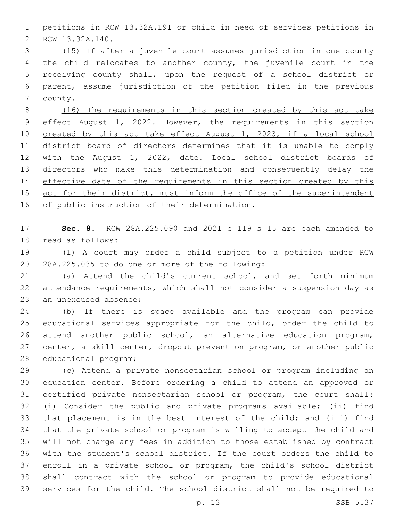petitions in RCW 13.32A.191 or child in need of services petitions in 2 RCW 13.32A.140.

 (15) If after a juvenile court assumes jurisdiction in one county the child relocates to another county, the juvenile court in the receiving county shall, upon the request of a school district or parent, assume jurisdiction of the petition filed in the previous 7 county.

 (16) The requirements in this section created by this act take 9 effect August 1, 2022. However, the requirements in this section created by this act take effect August 1, 2023, if a local school 11 district board of directors determines that it is unable to comply with the August 1, 2022, date. Local school district boards of 13 directors who make this determination and consequently delay the 14 effective date of the requirements in this section created by this 15 act for their district, must inform the office of the superintendent 16 of public instruction of their determination.

 **Sec. 8.** RCW 28A.225.090 and 2021 c 119 s 15 are each amended to 18 read as follows:

 (1) A court may order a child subject to a petition under RCW 20 28A.225.035 to do one or more of the following:

 (a) Attend the child's current school, and set forth minimum attendance requirements, which shall not consider a suspension day as 23 an unexcused absence;

 (b) If there is space available and the program can provide educational services appropriate for the child, order the child to attend another public school, an alternative education program, center, a skill center, dropout prevention program, or another public 28 educational program;

 (c) Attend a private nonsectarian school or program including an education center. Before ordering a child to attend an approved or certified private nonsectarian school or program, the court shall: (i) Consider the public and private programs available; (ii) find that placement is in the best interest of the child; and (iii) find that the private school or program is willing to accept the child and will not charge any fees in addition to those established by contract with the student's school district. If the court orders the child to enroll in a private school or program, the child's school district shall contract with the school or program to provide educational services for the child. The school district shall not be required to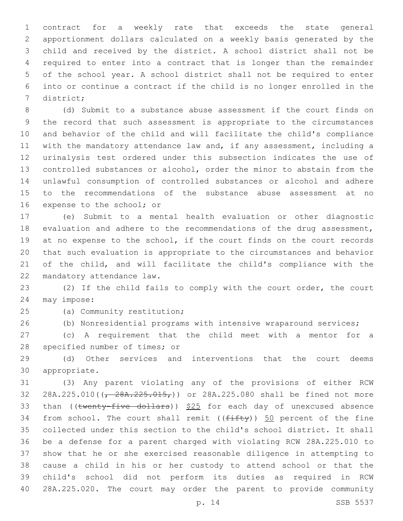contract for a weekly rate that exceeds the state general apportionment dollars calculated on a weekly basis generated by the child and received by the district. A school district shall not be required to enter into a contract that is longer than the remainder of the school year. A school district shall not be required to enter into or continue a contract if the child is no longer enrolled in the 7 district;

 (d) Submit to a substance abuse assessment if the court finds on the record that such assessment is appropriate to the circumstances and behavior of the child and will facilitate the child's compliance with the mandatory attendance law and, if any assessment, including a urinalysis test ordered under this subsection indicates the use of controlled substances or alcohol, order the minor to abstain from the unlawful consumption of controlled substances or alcohol and adhere to the recommendations of the substance abuse assessment at no 16 expense to the school; or

 (e) Submit to a mental health evaluation or other diagnostic evaluation and adhere to the recommendations of the drug assessment, at no expense to the school, if the court finds on the court records that such evaluation is appropriate to the circumstances and behavior of the child, and will facilitate the child's compliance with the 22 mandatory attendance law.

 (2) If the child fails to comply with the court order, the court 24 may impose:

25 (a) Community restitution;

(b) Nonresidential programs with intensive wraparound services;

 (c) A requirement that the child meet with a mentor for a 28 specified number of times; or

 (d) Other services and interventions that the court deems 30 appropriate.

 (3) Any parent violating any of the provisions of either RCW 32 28A.225.010( $\left(\frac{28A.225.015}{\sqrt{28A.225.015}}\right)$  or 28A.225.080 shall be fined not more 33 than (( $t$ wenty-five dollars))  $$25$  for each day of unexcused absence 34 from school. The court shall remit  $((f\text{iff}\psi))$  50 percent of the fine collected under this section to the child's school district. It shall be a defense for a parent charged with violating RCW 28A.225.010 to show that he or she exercised reasonable diligence in attempting to cause a child in his or her custody to attend school or that the child's school did not perform its duties as required in RCW 28A.225.020. The court may order the parent to provide community

p. 14 SSB 5537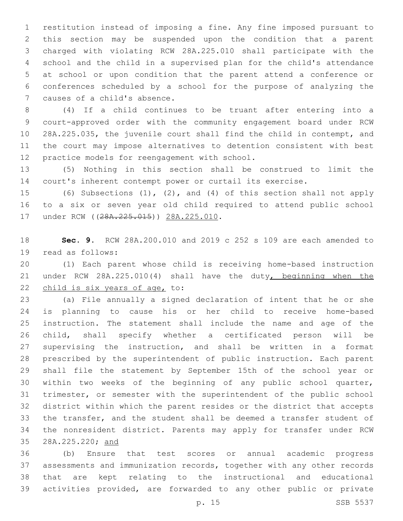restitution instead of imposing a fine. Any fine imposed pursuant to this section may be suspended upon the condition that a parent charged with violating RCW 28A.225.010 shall participate with the school and the child in a supervised plan for the child's attendance at school or upon condition that the parent attend a conference or conferences scheduled by a school for the purpose of analyzing the 7 causes of a child's absence.

 (4) If a child continues to be truant after entering into a court-approved order with the community engagement board under RCW 28A.225.035, the juvenile court shall find the child in contempt, and the court may impose alternatives to detention consistent with best 12 practice models for reengagement with school.

 (5) Nothing in this section shall be construed to limit the court's inherent contempt power or curtail its exercise.

 (6) Subsections (1), (2), and (4) of this section shall not apply to a six or seven year old child required to attend public school 17 under RCW ((28A.225.015)) 28A.225.010.

 **Sec. 9.** RCW 28A.200.010 and 2019 c 252 s 109 are each amended to 19 read as follows:

 (1) Each parent whose child is receiving home-based instruction under RCW 28A.225.010(4) shall have the duty, beginning when the 22 child is six years of age, to:

 (a) File annually a signed declaration of intent that he or she is planning to cause his or her child to receive home-based instruction. The statement shall include the name and age of the child, shall specify whether a certificated person will be supervising the instruction, and shall be written in a format prescribed by the superintendent of public instruction. Each parent shall file the statement by September 15th of the school year or within two weeks of the beginning of any public school quarter, trimester, or semester with the superintendent of the public school district within which the parent resides or the district that accepts the transfer, and the student shall be deemed a transfer student of the nonresident district. Parents may apply for transfer under RCW 28A.225.220; and

 (b) Ensure that test scores or annual academic progress assessments and immunization records, together with any other records that are kept relating to the instructional and educational activities provided, are forwarded to any other public or private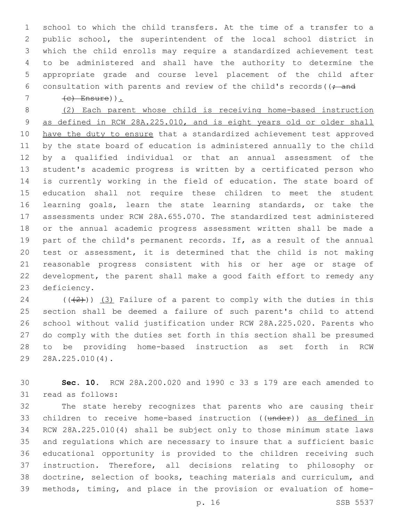school to which the child transfers. At the time of a transfer to a public school, the superintendent of the local school district in which the child enrolls may require a standardized achievement test to be administered and shall have the authority to determine the appropriate grade and course level placement of the child after 6 consultation with parents and review of the child's records ( $($ ; and

 $7 \left( e \right)$  Ensure) :

 (2) Each parent whose child is receiving home-based instruction as defined in RCW 28A.225.010, and is eight years old or older shall have the duty to ensure that a standardized achievement test approved by the state board of education is administered annually to the child by a qualified individual or that an annual assessment of the student's academic progress is written by a certificated person who is currently working in the field of education. The state board of education shall not require these children to meet the student learning goals, learn the state learning standards, or take the assessments under RCW 28A.655.070. The standardized test administered or the annual academic progress assessment written shall be made a part of the child's permanent records. If, as a result of the annual test or assessment, it is determined that the child is not making reasonable progress consistent with his or her age or stage of development, the parent shall make a good faith effort to remedy any 23 deficiency.

24 ( $(\frac{1}{2})$ ) (3) Failure of a parent to comply with the duties in this section shall be deemed a failure of such parent's child to attend school without valid justification under RCW 28A.225.020. Parents who do comply with the duties set forth in this section shall be presumed to be providing home-based instruction as set forth in RCW 29 28A.225.010(4).

 **Sec. 10.** RCW 28A.200.020 and 1990 c 33 s 179 are each amended to 31 read as follows:

 The state hereby recognizes that parents who are causing their 33 children to receive home-based instruction ((under)) as defined in RCW 28A.225.010(4) shall be subject only to those minimum state laws and regulations which are necessary to insure that a sufficient basic educational opportunity is provided to the children receiving such instruction. Therefore, all decisions relating to philosophy or doctrine, selection of books, teaching materials and curriculum, and methods, timing, and place in the provision or evaluation of home-

p. 16 SSB 5537